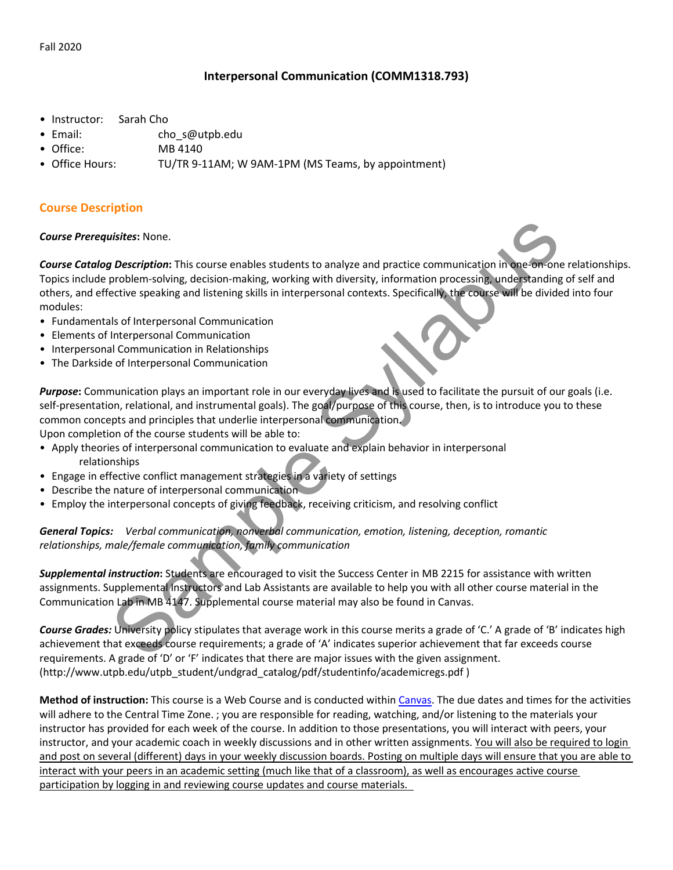# Interpersonal Communication (COMM1318.793)

- Instructor: Sarah Cho
- Email: cho\_s@utpb.edu
- Office: MB 4140
- Office Hours: TU/TR 9-11AM; W 9AM-1PM (MS Teams, by appointment)

## Course Description

#### Course Prerequisites: None.

Course Catalog Description: This course enables students to analyze and practice communication in one-on-one relationships. Topics include problem-solving, decision-making, working with diversity, information processing, understanding of self and others, and effective speaking and listening skills in interpersonal contexts. Specifically, the course will be divided into four modules: uisites: None.<br>
In Description: This course enables students to analyze and practice communication in one-of-<br>
problem-solving, decision-making, working with diversity, information processing, understanding<br>
ective speakin

- Fundamentals of Interpersonal Communication
- Elements of Interpersonal Communication
- Interpersonal Communication in Relationships
- The Darkside of Interpersonal Communication

Purpose: Communication plays an important role in our everyday lives and is used to facilitate the pursuit of our goals (i.e. self-presentation, relational, and instrumental goals). The goal/purpose of this course, then, is to introduce you to these common concepts and principles that underlie interpersonal communication.

Upon completion of the course students will be able to:

- Apply theories of interpersonal communication to evaluate and explain behavior in interpersonal relationships
- Engage in effective conflict management strategies in a variety of settings
- Describe the nature of interpersonal communication
- Employ the interpersonal concepts of giving feedback, receiving criticism, and resolving conflict

### General Topics: Verbal communication, nonverbal communication, emotion, listening, deception, romantic relationships, male/female communication, family communication

Supplemental instruction: Students are encouraged to visit the Success Center in MB 2215 for assistance with written assignments. Supplemental Instructors and Lab Assistants are available to help you with all other course material in the Communication Lab in MB 4147. Supplemental course material may also be found in Canvas.

Course Grades: University policy stipulates that average work in this course merits a grade of 'C.' A grade of 'B' indicates high achievement that exceeds course requirements; a grade of 'A' indicates superior achievement that far exceeds course requirements. A grade of 'D' or 'F' indicates that there are major issues with the given assignment. (http://www.utpb.edu/utpb\_student/undgrad\_catalog/pdf/studentinfo/academicregs.pdf )

Method of instruction: This course is a Web Course and is conducted within Canvas. The due dates and times for the activities will adhere to the Central Time Zone. ; you are responsible for reading, watching, and/or listening to the materials your instructor has provided for each week of the course. In addition to those presentations, you will interact with peers, your instructor, and your academic coach in weekly discussions and in other written assignments. You will also be required to login and post on several (different) days in your weekly discussion boards. Posting on multiple days will ensure that you are able to interact with your peers in an academic setting (much like that of a classroom), as well as encourages active course participation by logging in and reviewing course updates and course materials.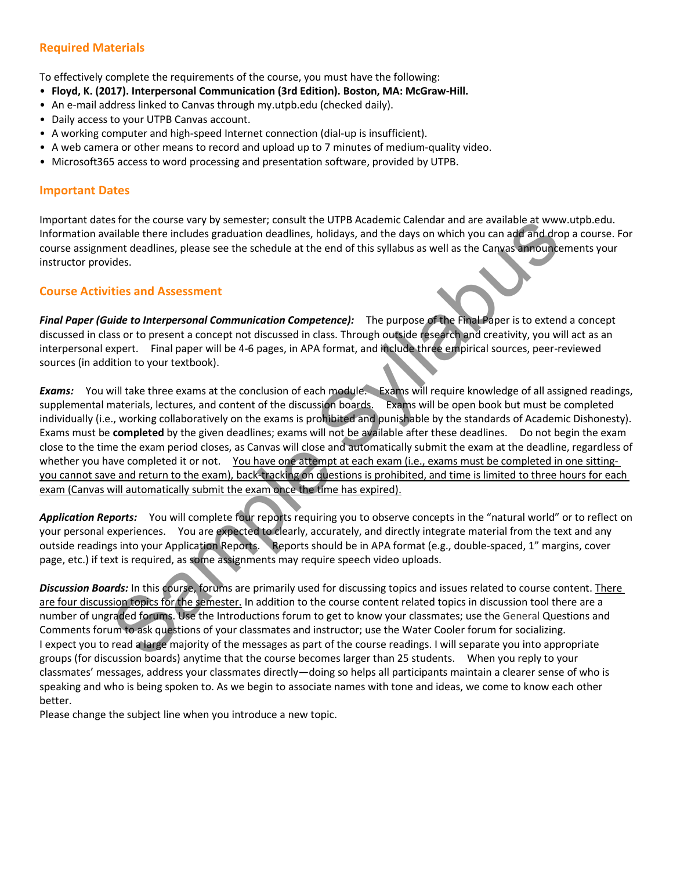# Required Materials

To effectively complete the requirements of the course, you must have the following:

- Floyd, K. (2017). Interpersonal Communication (3rd Edition). Boston, MA: McGraw-Hill.
- An e-mail address linked to Canvas through my.utpb.edu (checked daily).
- Daily access to your UTPB Canvas account.
- A working computer and high-speed Internet connection (dial-up is insufficient).
- A web camera or other means to record and upload up to 7 minutes of medium-quality video.
- Microsoft365 access to word processing and presentation software, provided by UTPB.

### Important Dates

Important dates for the course vary by semester; consult the UTPB Academic Calendar and are available at www.utpb.edu. Information available there includes graduation deadlines, holidays, and the days on which you can add and drop a course. For course assignment deadlines, please see the schedule at the end of this syllabus as well as the Canvas announcements your instructor provides.

### Course Activities and Assessment

Final Paper (Guide to Interpersonal Communication Competence): The purpose of the Final Paper is to extend a concept discussed in class or to present a concept not discussed in class. Through outside research and creativity, you will act as an interpersonal expert. Final paper will be 4-6 pages, in APA format, and include three empirical sources, peer-reviewed sources (in addition to your textbook).

Exams: You will take three exams at the conclusion of each module. Exams will require knowledge of all assigned readings, supplemental materials, lectures, and content of the discussion boards. Exams will be open book but must be completed individually (i.e., working collaboratively on the exams is prohibited and punishable by the standards of Academic Dishonesty). Exams must be completed by the given deadlines; exams will not be available after these deadlines. Do not begin the exam close to the time the exam period closes, as Canvas will close and automatically submit the exam at the deadline, regardless of whether you have completed it or not. You have one attempt at each exam (i.e., exams must be completed in one sittingyou cannot save and return to the exam), back-tracking on questions is prohibited, and time is limited to three hours for each exam (Canvas will automatically submit the exam once the time has expired). is for the course vary by semester; consult the UIPA Academic Laeinara and are available at two the course course to the Final Bage is a particular state of this syllabus as well as the Canyas announcement deadlines, holid

Application Reports: You will complete four reports requiring you to observe concepts in the "natural world" or to reflect on your personal experiences. You are expected to clearly, accurately, and directly integrate material from the text and any outside readings into your Application Reports. Reports should be in APA format (e.g., double-spaced, 1" margins, cover page, etc.) if text is required, as some assignments may require speech video uploads.

Discussion Boards: In this course, forums are primarily used for discussing topics and issues related to course content. There are four discussion topics for the semester. In addition to the course content related topics in discussion tool there are a number of ungraded forums. Use the Introductions forum to get to know your classmates; use the General Questions and Comments forum to ask questions of your classmates and instructor; use the Water Cooler forum for socializing. I expect you to read a large majority of the messages as part of the course readings. I will separate you into appropriate groups (for discussion boards) anytime that the course becomes larger than 25 students. When you reply to your classmates' messages, address your classmates directly—doing so helps all participants maintain a clearer sense of who is speaking and who is being spoken to. As we begin to associate names with tone and ideas, we come to know each other better.

Please change the subject line when you introduce a new topic.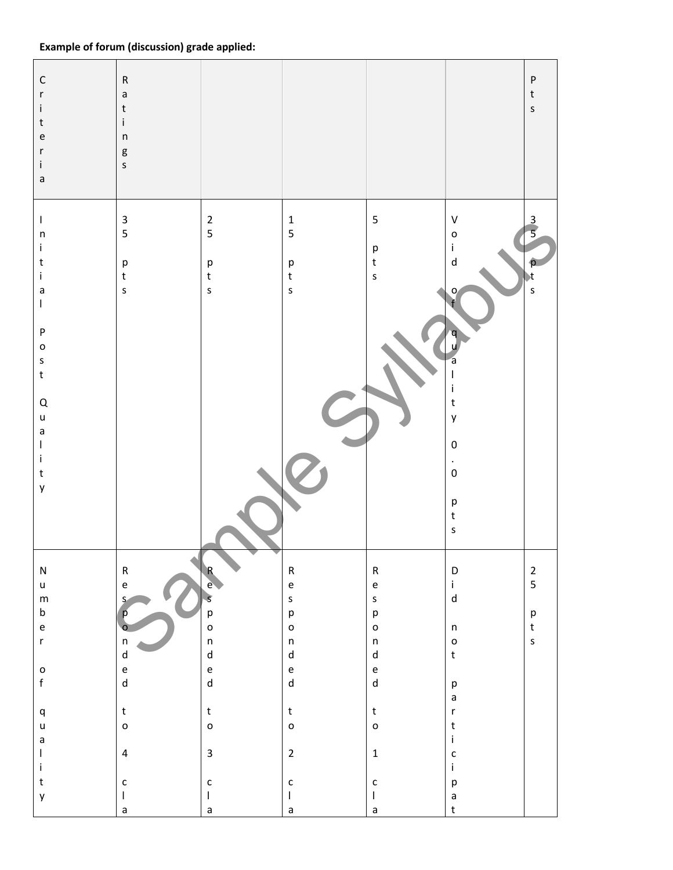# Example of forum (discussion) grade applied:

| $\mathsf C$<br>$\mathsf{r}$<br>$\mathbf i$<br>$\sf t$<br>$\mathsf{e}% _{t}\left( t\right)$<br>r<br>i.<br>$\mathsf{a}$ | ${\sf R}$<br>$\mathsf a$<br>$\sf t$<br>i<br>$\sf n$<br>g<br>S              |                                                                                                      |                                                                                                                                                                                                                                                                                                                                                                                                 |                                                                                                      |                                                                                      | ${\sf P}$<br>$\sf t$<br>$\sf S$  |
|-----------------------------------------------------------------------------------------------------------------------|----------------------------------------------------------------------------|------------------------------------------------------------------------------------------------------|-------------------------------------------------------------------------------------------------------------------------------------------------------------------------------------------------------------------------------------------------------------------------------------------------------------------------------------------------------------------------------------------------|------------------------------------------------------------------------------------------------------|--------------------------------------------------------------------------------------|----------------------------------|
| T<br>$\sf n$<br>i                                                                                                     | $\ensuremath{\mathsf{3}}$<br>5                                             | $\overline{2}$<br>5                                                                                  | $\mathbf 1$<br>5                                                                                                                                                                                                                                                                                                                                                                                | $\mathsf S$<br>$\mathsf{p}% _{T}$                                                                    | $\sf V$<br>$\mathsf{o}$<br>j.                                                        | $\overline{3}$                   |
| $\sf t$<br>İ.<br>$\mathsf a$<br>$\mathsf I$                                                                           | p<br>$\mathsf t$<br>$\sf S$                                                | р<br>t<br>$\sf s$                                                                                    | $\mathsf{p}$<br>$\sf t$<br>$\mathsf{s}$                                                                                                                                                                                                                                                                                                                                                         | $\mathsf{t}$<br>$\sf S$                                                                              | ${\sf d}$<br>ο                                                                       | $\mathbf{t}$<br>$\mathsf{s}$     |
| $\sf P$<br>$\mathsf{o}$<br>$\sf S$<br>$\sf t$                                                                         |                                                                            |                                                                                                      |                                                                                                                                                                                                                                                                                                                                                                                                 |                                                                                                      | a<br>T                                                                               |                                  |
| $\sf Q$<br>$\mathsf{u}%$<br>$\mathsf a$                                                                               |                                                                            |                                                                                                      |                                                                                                                                                                                                                                                                                                                                                                                                 |                                                                                                      | $\frac{i}{t}$<br>y                                                                   |                                  |
| $\overline{\phantom{a}}$<br>j.<br>$\sf t$<br>y                                                                        |                                                                            |                                                                                                      |                                                                                                                                                                                                                                                                                                                                                                                                 |                                                                                                      | $\pmb{0}$<br>$\bullet$<br>$\mathbf 0$                                                |                                  |
|                                                                                                                       |                                                                            |                                                                                                      |                                                                                                                                                                                                                                                                                                                                                                                                 |                                                                                                      | $\mathsf{p}% _{T}$<br>$\mathsf{t}$<br>$\sf S$                                        |                                  |
| ${\sf N}$                                                                                                             | ${\sf R}$                                                                  | $\mathsf{R}$                                                                                         | ${\sf R}$                                                                                                                                                                                                                                                                                                                                                                                       | ${\sf R}$                                                                                            | $\mathsf D$                                                                          | $\overline{2}$<br>$\overline{5}$ |
| $\sf u$<br>${\sf m}$                                                                                                  | $\mathsf{e}% _{t}\left( t\right) \equiv\mathsf{e}_{t}\left( t\right)$<br>S | e<br>$\mathcal{S}$                                                                                   | $\mathsf{e}% _{t}\left( t\right)$<br>$\mathsf{s}$                                                                                                                                                                                                                                                                                                                                               | $\mathsf{e}% _{0}\left( \mathsf{e}\right)$<br>$\sf S$                                                | $\mathbf i$<br>$\operatorname{\mathsf{d}}$                                           |                                  |
| $\mathsf b$<br>$\mathsf{e}% _{t}\left( t\right)$                                                                      | р                                                                          | p<br>o                                                                                               | p<br>$\mathsf{o}$                                                                                                                                                                                                                                                                                                                                                                               | $\mathsf{p}% _{T}=\mathsf{p}_{T}$<br>$\mathsf{o}$                                                    | $\sf n$                                                                              | p<br>$\mathsf t$                 |
| $\mathsf{r}$                                                                                                          | $\sf n$<br>$\sf d$                                                         | $\mathsf{n}$<br>$\operatorname{\mathsf{d}}$                                                          | $\mathsf{n}$<br>$\sf d$                                                                                                                                                                                                                                                                                                                                                                         | $\sf n$<br>${\sf d}$                                                                                 | $\mathsf{o}$<br>$\mathsf{t}$                                                         | $\sf S$                          |
| $\mathsf{o}$<br>$\mathsf{f}$                                                                                          | $\mathsf{e}% _{0}\left( \mathsf{e}\right)$<br>$\mathsf{d}$                 | $\mathsf{e}% _{t}\left( t\right) \equiv\mathsf{e}_{t}\left( t\right)$<br>$\operatorname{\mathsf{d}}$ | $\mathsf{e}% _{t}\left( t\right) \equiv\mathsf{e}_{t}\left( t\right)$<br>$\mathsf{d}$                                                                                                                                                                                                                                                                                                           | $\mathsf{e}% _{t}\left( t\right) \equiv\mathsf{e}_{t}\left( t\right)$<br>$\operatorname{\mathsf{d}}$ |                                                                                      |                                  |
|                                                                                                                       |                                                                            |                                                                                                      |                                                                                                                                                                                                                                                                                                                                                                                                 |                                                                                                      | $\mathsf{p}% _{T}$<br>$\mathsf a$                                                    |                                  |
| $\sf q$<br>$\sf u$                                                                                                    | $\mathsf t$<br>$\mathsf{o}$                                                | $\mathsf{t}$<br>$\mathsf{o}$                                                                         | $\mathsf{t}$<br>$\circ$                                                                                                                                                                                                                                                                                                                                                                         | $\mathsf{t}$<br>$\circ$                                                                              | $\mathsf{r}$<br>$\mathsf{t}$                                                         |                                  |
| $\mathsf a$<br>$\overline{\phantom{a}}$                                                                               | $\overline{\mathbf{4}}$                                                    | $\overline{\mathbf{3}}$                                                                              | $\overline{2}$                                                                                                                                                                                                                                                                                                                                                                                  | $\mathbf 1$                                                                                          | $\mathbf i$<br>$\mathsf{c}$                                                          |                                  |
| $\mathbf i$<br>$\mathsf{t}$                                                                                           | $\mathsf{c}$                                                               | $\mathsf{c}$                                                                                         | $\mathsf{C}$                                                                                                                                                                                                                                                                                                                                                                                    | $\mathsf{c}$                                                                                         | $\mathbf i$<br>$\mathsf{p}% _{T}\left( t\right) \equiv\mathsf{p}_{T}\left( t\right)$ |                                  |
| y                                                                                                                     | $\mathbf{I}$<br>$\mathsf a$                                                | L<br>$\mathsf a$                                                                                     | $\begin{array}{c} \rule{0pt}{2.5ex} \rule{0pt}{2.5ex} \rule{0pt}{2.5ex} \rule{0pt}{2.5ex} \rule{0pt}{2.5ex} \rule{0pt}{2.5ex} \rule{0pt}{2.5ex} \rule{0pt}{2.5ex} \rule{0pt}{2.5ex} \rule{0pt}{2.5ex} \rule{0pt}{2.5ex} \rule{0pt}{2.5ex} \rule{0pt}{2.5ex} \rule{0pt}{2.5ex} \rule{0pt}{2.5ex} \rule{0pt}{2.5ex} \rule{0pt}{2.5ex} \rule{0pt}{2.5ex} \rule{0pt}{2.5ex} \rule{0$<br>$\mathsf a$ | $\overline{\phantom{a}}$<br>$\mathsf a$                                                              | $\mathsf a$<br>$\sf t$                                                               |                                  |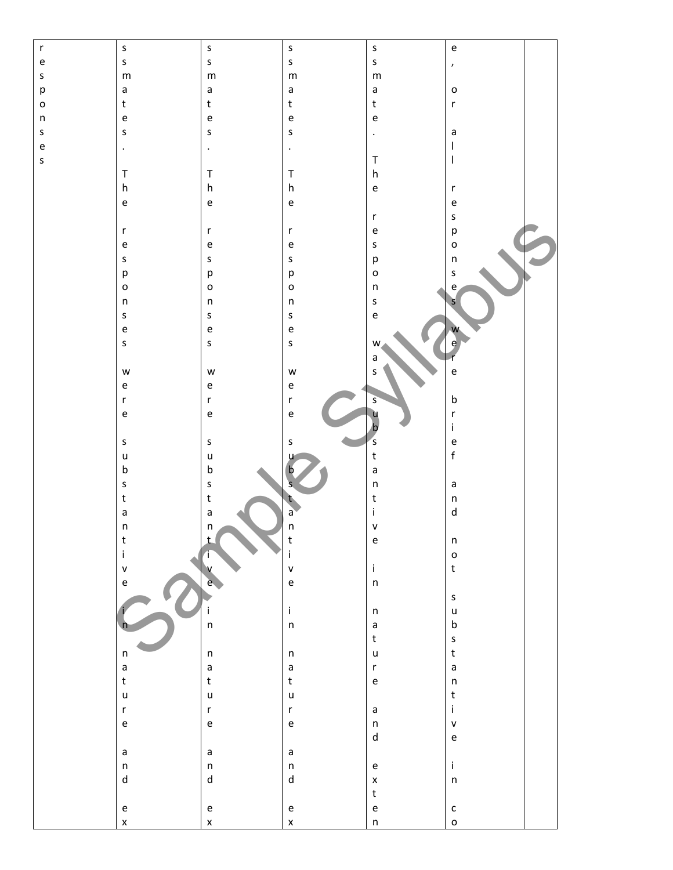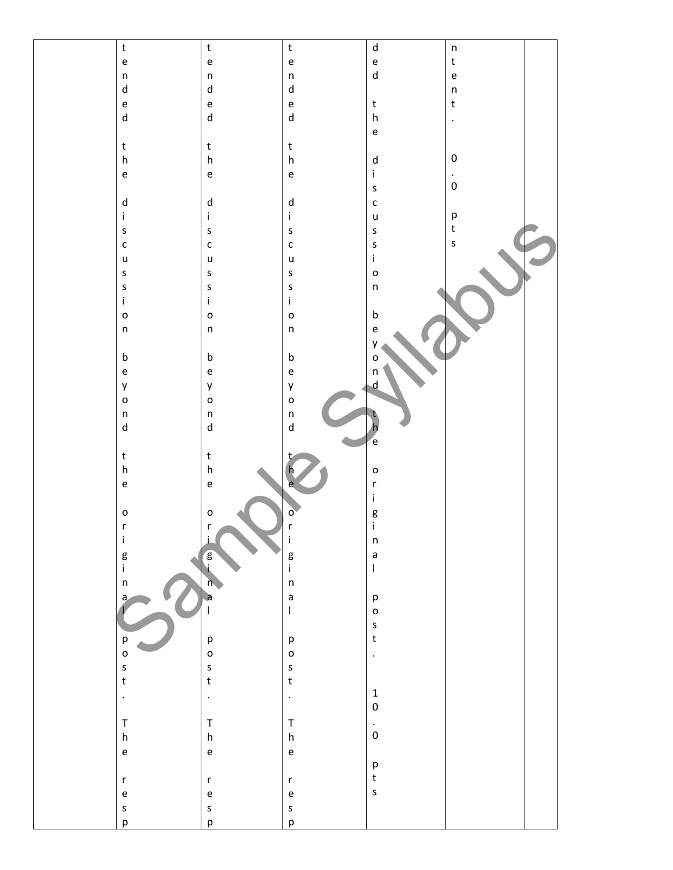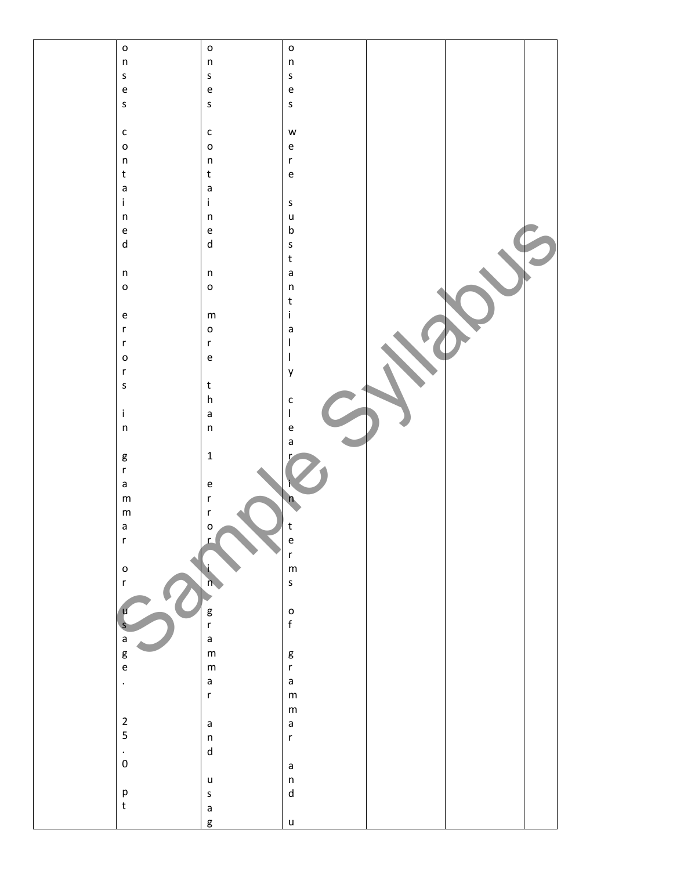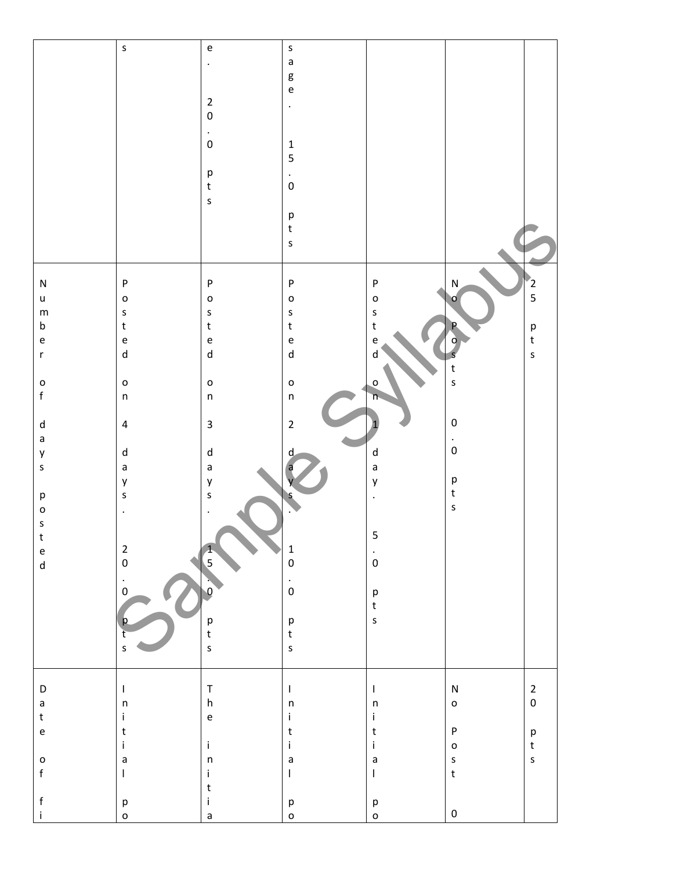|                                                                       | $\sf S$                                                                                                                                                                                                                                                                                                                                                                          | $\mathsf{e}% _{0}\left( \mathsf{e}\right)$                            | $\mathsf{s}$                      |                           |                           |                                   |
|-----------------------------------------------------------------------|----------------------------------------------------------------------------------------------------------------------------------------------------------------------------------------------------------------------------------------------------------------------------------------------------------------------------------------------------------------------------------|-----------------------------------------------------------------------|-----------------------------------|---------------------------|---------------------------|-----------------------------------|
|                                                                       |                                                                                                                                                                                                                                                                                                                                                                                  |                                                                       | $\mathsf a$                       |                           |                           |                                   |
|                                                                       |                                                                                                                                                                                                                                                                                                                                                                                  | $\ddot{\phantom{1}}$                                                  |                                   |                           |                           |                                   |
|                                                                       |                                                                                                                                                                                                                                                                                                                                                                                  |                                                                       | g                                 |                           |                           |                                   |
|                                                                       |                                                                                                                                                                                                                                                                                                                                                                                  |                                                                       |                                   |                           |                           |                                   |
|                                                                       |                                                                                                                                                                                                                                                                                                                                                                                  |                                                                       | $\mathsf{e}\mathsf{ }$            |                           |                           |                                   |
|                                                                       |                                                                                                                                                                                                                                                                                                                                                                                  | $\mathbf 2$                                                           |                                   |                           |                           |                                   |
|                                                                       |                                                                                                                                                                                                                                                                                                                                                                                  |                                                                       | $\bullet$                         |                           |                           |                                   |
|                                                                       |                                                                                                                                                                                                                                                                                                                                                                                  | $\pmb{0}$                                                             |                                   |                           |                           |                                   |
|                                                                       |                                                                                                                                                                                                                                                                                                                                                                                  |                                                                       |                                   |                           |                           |                                   |
|                                                                       |                                                                                                                                                                                                                                                                                                                                                                                  | $\blacksquare$                                                        |                                   |                           |                           |                                   |
|                                                                       |                                                                                                                                                                                                                                                                                                                                                                                  |                                                                       |                                   |                           |                           |                                   |
|                                                                       |                                                                                                                                                                                                                                                                                                                                                                                  | $\pmb{0}$                                                             | $\mathbf 1$                       |                           |                           |                                   |
|                                                                       |                                                                                                                                                                                                                                                                                                                                                                                  |                                                                       |                                   |                           |                           |                                   |
|                                                                       |                                                                                                                                                                                                                                                                                                                                                                                  |                                                                       | 5                                 |                           |                           |                                   |
|                                                                       |                                                                                                                                                                                                                                                                                                                                                                                  |                                                                       |                                   |                           |                           |                                   |
|                                                                       |                                                                                                                                                                                                                                                                                                                                                                                  | р<br>t                                                                | $\frac{1}{\sqrt{2}}$              |                           |                           |                                   |
|                                                                       |                                                                                                                                                                                                                                                                                                                                                                                  |                                                                       |                                   |                           |                           |                                   |
|                                                                       |                                                                                                                                                                                                                                                                                                                                                                                  |                                                                       |                                   |                           |                           |                                   |
|                                                                       |                                                                                                                                                                                                                                                                                                                                                                                  | $\sf s$                                                               |                                   |                           |                           |                                   |
|                                                                       |                                                                                                                                                                                                                                                                                                                                                                                  |                                                                       |                                   |                           |                           |                                   |
|                                                                       |                                                                                                                                                                                                                                                                                                                                                                                  |                                                                       | p<br>t                            |                           |                           |                                   |
|                                                                       |                                                                                                                                                                                                                                                                                                                                                                                  |                                                                       |                                   |                           |                           |                                   |
|                                                                       |                                                                                                                                                                                                                                                                                                                                                                                  |                                                                       |                                   |                           |                           |                                   |
|                                                                       |                                                                                                                                                                                                                                                                                                                                                                                  |                                                                       | $\sf S$                           |                           |                           |                                   |
|                                                                       |                                                                                                                                                                                                                                                                                                                                                                                  |                                                                       |                                   |                           |                           |                                   |
|                                                                       |                                                                                                                                                                                                                                                                                                                                                                                  |                                                                       |                                   |                           |                           |                                   |
|                                                                       |                                                                                                                                                                                                                                                                                                                                                                                  |                                                                       |                                   |                           |                           |                                   |
|                                                                       |                                                                                                                                                                                                                                                                                                                                                                                  |                                                                       |                                   |                           |                           |                                   |
| ${\sf N}$                                                             | ${\sf P}$                                                                                                                                                                                                                                                                                                                                                                        | ${\sf P}$                                                             | ${\sf P}$                         | ${\sf P}$                 | ${\sf N}$                 |                                   |
|                                                                       |                                                                                                                                                                                                                                                                                                                                                                                  |                                                                       |                                   |                           |                           |                                   |
| $\sf u$                                                               | $\mathsf{o}$                                                                                                                                                                                                                                                                                                                                                                     | $\mathsf{o}$                                                          | $\circ$                           | $\circ$                   | O                         | $\frac{1}{2}$<br>5                |
|                                                                       |                                                                                                                                                                                                                                                                                                                                                                                  |                                                                       |                                   |                           |                           |                                   |
| ${\sf m}$                                                             | $\sf S$                                                                                                                                                                                                                                                                                                                                                                          | $\sf S$                                                               | S                                 | $\mathsf{s}$              |                           |                                   |
| $\sf b$                                                               | $\sf t$                                                                                                                                                                                                                                                                                                                                                                          | $\mathsf t$                                                           | $\mathsf{t}$                      | $\mathsf{t}$              |                           |                                   |
|                                                                       |                                                                                                                                                                                                                                                                                                                                                                                  |                                                                       |                                   |                           |                           | $\mathsf{p}% _{T}$                |
| $\mathsf{e}% _{t}\left( t\right)$                                     | $\mathsf{e}% _{0}\left( \mathsf{e}\right)$                                                                                                                                                                                                                                                                                                                                       | $\mathsf{e}% _{t}\left( t\right)$                                     | $\mathsf{e}% _{t}\left( t\right)$ | e                         | Ω                         | $\mathsf{t}$                      |
|                                                                       |                                                                                                                                                                                                                                                                                                                                                                                  |                                                                       |                                   |                           |                           |                                   |
| $\mathsf{r}$                                                          | ${\sf d}$                                                                                                                                                                                                                                                                                                                                                                        | ${\sf d}$                                                             | $\mathsf{d}$                      | d                         |                           | $\sf S$                           |
|                                                                       |                                                                                                                                                                                                                                                                                                                                                                                  |                                                                       |                                   |                           |                           |                                   |
|                                                                       |                                                                                                                                                                                                                                                                                                                                                                                  |                                                                       |                                   |                           | $\ensuremath{\mathbf{t}}$ |                                   |
|                                                                       |                                                                                                                                                                                                                                                                                                                                                                                  |                                                                       |                                   |                           |                           |                                   |
| $\mathsf{o}$                                                          | $\mathsf{o}$                                                                                                                                                                                                                                                                                                                                                                     | $\mathsf{o}$                                                          | $\circ$                           | O                         | $\sf s$                   |                                   |
| $\mathsf f$                                                           | $\sf n$                                                                                                                                                                                                                                                                                                                                                                          | $\sf n$                                                               | $\sf n$                           | η                         |                           |                                   |
|                                                                       |                                                                                                                                                                                                                                                                                                                                                                                  |                                                                       |                                   |                           |                           |                                   |
|                                                                       |                                                                                                                                                                                                                                                                                                                                                                                  |                                                                       |                                   |                           |                           |                                   |
|                                                                       |                                                                                                                                                                                                                                                                                                                                                                                  |                                                                       |                                   |                           |                           |                                   |
| ${\sf d}$                                                             | $\overline{\mathbf{4}}$                                                                                                                                                                                                                                                                                                                                                          | $\mathbf{3}$                                                          | $\mathbf 2$                       |                           | $\pmb{0}$                 |                                   |
|                                                                       |                                                                                                                                                                                                                                                                                                                                                                                  |                                                                       |                                   |                           |                           |                                   |
| $\mathsf a$                                                           |                                                                                                                                                                                                                                                                                                                                                                                  |                                                                       |                                   |                           | $\bullet$                 |                                   |
|                                                                       |                                                                                                                                                                                                                                                                                                                                                                                  | ${\sf d}$                                                             |                                   |                           | $\mathbf 0$               |                                   |
| y                                                                     | ${\sf d}$                                                                                                                                                                                                                                                                                                                                                                        |                                                                       | d                                 | ${\sf d}$                 |                           |                                   |
| $\sf S$                                                               | $\mathsf a$                                                                                                                                                                                                                                                                                                                                                                      | $\mathsf a$                                                           |                                   | $\mathsf{a}$              |                           |                                   |
|                                                                       |                                                                                                                                                                                                                                                                                                                                                                                  |                                                                       |                                   |                           |                           |                                   |
|                                                                       | y                                                                                                                                                                                                                                                                                                                                                                                | y                                                                     |                                   | y                         | $\mathsf{p}$              |                                   |
|                                                                       |                                                                                                                                                                                                                                                                                                                                                                                  |                                                                       |                                   |                           |                           |                                   |
| $\mathsf{p}% _{T}$                                                    | $\sf S$                                                                                                                                                                                                                                                                                                                                                                          | $\sf S$                                                               | S                                 | $\blacksquare$            | $\sf t$                   |                                   |
|                                                                       |                                                                                                                                                                                                                                                                                                                                                                                  |                                                                       |                                   |                           | $\sf s$                   |                                   |
| $\mathsf{o}$                                                          | $\cdot$                                                                                                                                                                                                                                                                                                                                                                          | $\cdot$                                                               |                                   |                           |                           |                                   |
| $\sf S$                                                               |                                                                                                                                                                                                                                                                                                                                                                                  |                                                                       |                                   |                           |                           |                                   |
|                                                                       |                                                                                                                                                                                                                                                                                                                                                                                  |                                                                       |                                   |                           |                           |                                   |
| $\ensuremath{\mathbf{t}}$                                             |                                                                                                                                                                                                                                                                                                                                                                                  |                                                                       |                                   | 5                         |                           |                                   |
|                                                                       |                                                                                                                                                                                                                                                                                                                                                                                  |                                                                       |                                   |                           |                           |                                   |
| $\mathsf{e}% _{t}\left( t\right) \equiv\mathsf{e}_{t}\left( t\right)$ | $\overline{2}$                                                                                                                                                                                                                                                                                                                                                                   |                                                                       | $\mathbf 1$                       |                           |                           |                                   |
|                                                                       | $\pmb{0}$                                                                                                                                                                                                                                                                                                                                                                        | $\overline{\mathbf{5}}$                                               | $\pmb{0}$                         | $\stackrel{\cdot}{\rm o}$ |                           |                                   |
| $\operatorname{\mathsf{d}}$                                           |                                                                                                                                                                                                                                                                                                                                                                                  |                                                                       |                                   |                           |                           |                                   |
|                                                                       | $\epsilon$                                                                                                                                                                                                                                                                                                                                                                       |                                                                       |                                   |                           |                           |                                   |
|                                                                       |                                                                                                                                                                                                                                                                                                                                                                                  |                                                                       | $\cdot$ 0                         |                           |                           |                                   |
|                                                                       | $\pmb{0}$                                                                                                                                                                                                                                                                                                                                                                        | $\mathbf{0}$                                                          |                                   | $\sf p$                   |                           |                                   |
|                                                                       |                                                                                                                                                                                                                                                                                                                                                                                  |                                                                       |                                   | $\mathsf{t}$              |                           |                                   |
|                                                                       |                                                                                                                                                                                                                                                                                                                                                                                  |                                                                       |                                   |                           |                           |                                   |
|                                                                       | р                                                                                                                                                                                                                                                                                                                                                                                |                                                                       | $\mathsf{p}$                      | $\mathsf{s}$              |                           |                                   |
|                                                                       |                                                                                                                                                                                                                                                                                                                                                                                  |                                                                       |                                   |                           |                           |                                   |
|                                                                       | ť                                                                                                                                                                                                                                                                                                                                                                                | р<br>t                                                                | $\mathsf{t}$                      |                           |                           |                                   |
|                                                                       |                                                                                                                                                                                                                                                                                                                                                                                  |                                                                       |                                   |                           |                           |                                   |
|                                                                       | $\sf S$                                                                                                                                                                                                                                                                                                                                                                          | $\sf s$                                                               | $\sf s$                           |                           |                           |                                   |
|                                                                       |                                                                                                                                                                                                                                                                                                                                                                                  |                                                                       |                                   |                           |                           |                                   |
|                                                                       |                                                                                                                                                                                                                                                                                                                                                                                  |                                                                       |                                   |                           |                           |                                   |
|                                                                       |                                                                                                                                                                                                                                                                                                                                                                                  |                                                                       |                                   |                           |                           |                                   |
|                                                                       |                                                                                                                                                                                                                                                                                                                                                                                  |                                                                       |                                   |                           |                           |                                   |
| D                                                                     | $\mathsf I$                                                                                                                                                                                                                                                                                                                                                                      | $\mathsf T$                                                           | $\mathsf I$                       | $\mathsf I$               | ${\sf N}$                 | $\overline{2}$                    |
|                                                                       |                                                                                                                                                                                                                                                                                                                                                                                  |                                                                       |                                   |                           |                           |                                   |
| $\mathsf a$                                                           | $\sf n$                                                                                                                                                                                                                                                                                                                                                                          | $\boldsymbol{\mathsf{h}}$                                             | $\mathsf{n}$                      | $\sf n$                   | $\mathsf{o}$              | $\pmb{0}$                         |
| $\sf t$                                                               | $\mathbf{i}$                                                                                                                                                                                                                                                                                                                                                                     | $\mathsf{e}% _{t}\left( t\right) \equiv\mathsf{e}_{t}\left( t\right)$ | j.                                | $\mathbf i$               |                           |                                   |
|                                                                       |                                                                                                                                                                                                                                                                                                                                                                                  |                                                                       |                                   |                           |                           |                                   |
| $\mathsf{e}% _{t}\left( t\right)$                                     | $\sf t$                                                                                                                                                                                                                                                                                                                                                                          |                                                                       | $\sf t$                           | $\mathsf{t}$              | $\sf P$                   | $\mathsf{p}% _{T}=\mathsf{p}_{T}$ |
|                                                                       |                                                                                                                                                                                                                                                                                                                                                                                  |                                                                       |                                   |                           |                           |                                   |
|                                                                       | $\mathbf i$                                                                                                                                                                                                                                                                                                                                                                      | $\mathbf i$                                                           | $\mathbf i$                       | $\mathbf i$               | $\mathsf{o}$              | $\mathsf t$                       |
|                                                                       |                                                                                                                                                                                                                                                                                                                                                                                  |                                                                       |                                   |                           |                           |                                   |
| $\circ$                                                               | $\mathsf a$                                                                                                                                                                                                                                                                                                                                                                      | $\sf n$                                                               | $\mathsf{a}$                      | $\mathsf{a}$              | $\sf S$                   | $\sf S$                           |
| $\mathsf{f}$                                                          | $\begin{array}{c} \rule{0pt}{2.5ex} \rule{0pt}{2.5ex} \rule{0pt}{2.5ex} \rule{0pt}{2.5ex} \rule{0pt}{2.5ex} \rule{0pt}{2.5ex} \rule{0pt}{2.5ex} \rule{0pt}{2.5ex} \rule{0pt}{2.5ex} \rule{0pt}{2.5ex} \rule{0pt}{2.5ex} \rule{0pt}{2.5ex} \rule{0pt}{2.5ex} \rule{0pt}{2.5ex} \rule{0pt}{2.5ex} \rule{0pt}{2.5ex} \rule{0pt}{2.5ex} \rule{0pt}{2.5ex} \rule{0pt}{2.5ex} \rule{0$ | $\mathbf i$                                                           | $\mathsf I$                       | $\mathsf I$               | $\mathsf{t}$              |                                   |
|                                                                       |                                                                                                                                                                                                                                                                                                                                                                                  |                                                                       |                                   |                           |                           |                                   |
|                                                                       |                                                                                                                                                                                                                                                                                                                                                                                  | $\mathsf{t}$                                                          |                                   |                           |                           |                                   |
|                                                                       |                                                                                                                                                                                                                                                                                                                                                                                  |                                                                       |                                   |                           |                           |                                   |
| $\mathsf f$                                                           | $\mathsf{p}% _{T}=\mathsf{p}_{T}$                                                                                                                                                                                                                                                                                                                                                | $\mathbf i$                                                           | $\mathsf{p}% _{T}$                | $\mathsf{p}$              |                           |                                   |
|                                                                       |                                                                                                                                                                                                                                                                                                                                                                                  |                                                                       |                                   |                           |                           |                                   |
| $\mathbf{i}$                                                          | $\mathsf{o}$                                                                                                                                                                                                                                                                                                                                                                     | $\mathsf a$                                                           | $\circ$                           | $\mathsf{o}$              | $\mathbf 0$               |                                   |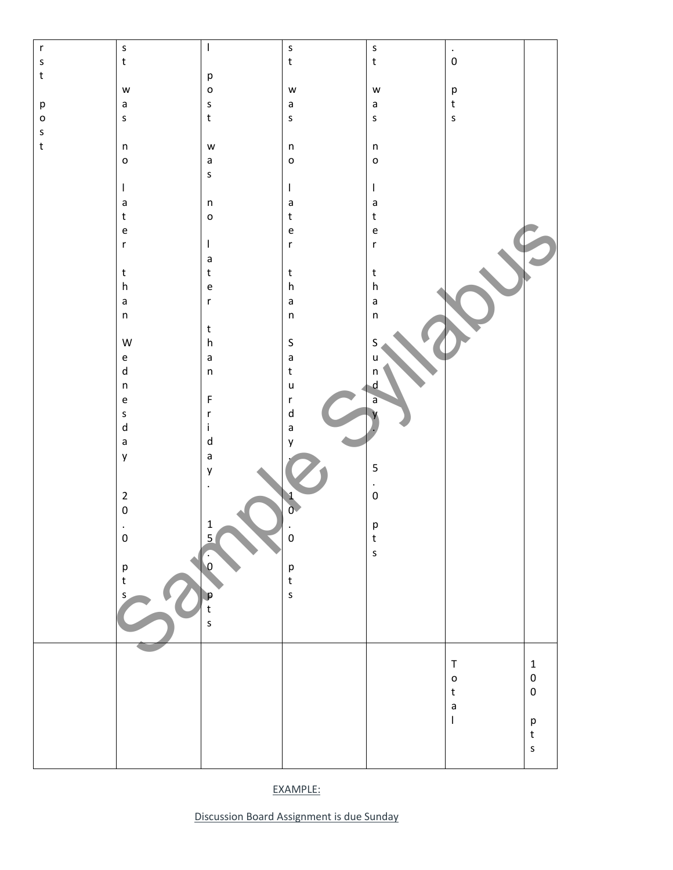| $\mathsf{r}$                      | $\mathsf{s}$                      | $\overline{\phantom{a}}$                   | $\mathsf{s}$                               | $\sf S$                                                                                                                                                                                                                                                                                                                                                                          |                        |                     |
|-----------------------------------|-----------------------------------|--------------------------------------------|--------------------------------------------|----------------------------------------------------------------------------------------------------------------------------------------------------------------------------------------------------------------------------------------------------------------------------------------------------------------------------------------------------------------------------------|------------------------|---------------------|
| $\sf S$                           | $\mathsf{t}$                      |                                            | $\mathsf{t}$                               | $\mathsf t$                                                                                                                                                                                                                                                                                                                                                                      | $\bullet$<br>$\pmb{0}$ |                     |
|                                   |                                   |                                            |                                            |                                                                                                                                                                                                                                                                                                                                                                                  |                        |                     |
| $\mathsf t$                       |                                   | $\mathsf{p}% _{T}$                         |                                            |                                                                                                                                                                                                                                                                                                                                                                                  |                        |                     |
|                                   | $\mathsf{w}$                      | $\mathsf{o}$                               | W                                          | $\mathsf{w}$                                                                                                                                                                                                                                                                                                                                                                     | p<br>t                 |                     |
| $\mathsf{p}% _{T}=\mathsf{p}_{T}$ | $\mathsf a$                       | $\sf S$                                    | $\mathsf a$                                | $\mathsf a$                                                                                                                                                                                                                                                                                                                                                                      |                        |                     |
| $\mathsf{o}$                      | $\sf S$                           | $\mathbf t$                                | $\mathsf{s}$                               | $\sf S$                                                                                                                                                                                                                                                                                                                                                                          | $\sf s$                |                     |
| $\sf S$                           |                                   |                                            |                                            |                                                                                                                                                                                                                                                                                                                                                                                  |                        |                     |
| $\mathsf{t}$                      | $\sf n$                           | W                                          | $\sf n$                                    | $\sf n$                                                                                                                                                                                                                                                                                                                                                                          |                        |                     |
|                                   | $\mathsf{o}$                      | $\mathsf a$                                | $\mathsf{o}$                               | $\mathsf{o}$                                                                                                                                                                                                                                                                                                                                                                     |                        |                     |
|                                   |                                   |                                            |                                            |                                                                                                                                                                                                                                                                                                                                                                                  |                        |                     |
|                                   |                                   | $\sf S$                                    |                                            |                                                                                                                                                                                                                                                                                                                                                                                  |                        |                     |
|                                   | $\mathsf I$                       |                                            | $\mathsf I$                                | $\begin{array}{c} \rule{0pt}{2.5ex} \rule{0pt}{2.5ex} \rule{0pt}{2.5ex} \rule{0pt}{2.5ex} \rule{0pt}{2.5ex} \rule{0pt}{2.5ex} \rule{0pt}{2.5ex} \rule{0pt}{2.5ex} \rule{0pt}{2.5ex} \rule{0pt}{2.5ex} \rule{0pt}{2.5ex} \rule{0pt}{2.5ex} \rule{0pt}{2.5ex} \rule{0pt}{2.5ex} \rule{0pt}{2.5ex} \rule{0pt}{2.5ex} \rule{0pt}{2.5ex} \rule{0pt}{2.5ex} \rule{0pt}{2.5ex} \rule{0$ |                        |                     |
|                                   | $\mathsf a$                       | $\sf n$                                    | $\mathsf a$                                | $\mathsf{a}$                                                                                                                                                                                                                                                                                                                                                                     |                        |                     |
|                                   | $\sf t$                           | $\mathsf{o}$                               | $\sf t$                                    | $\mathsf{t}$                                                                                                                                                                                                                                                                                                                                                                     |                        |                     |
|                                   | $\mathsf{e}% _{t}\left( t\right)$ |                                            | $\mathsf{e}% _{0}\left( \mathsf{e}\right)$ | $\mathsf{e}\vphantom{e}$                                                                                                                                                                                                                                                                                                                                                         |                        |                     |
|                                   | $\mathsf{r}$                      | $\mathsf I$                                | $\mathsf{r}$                               | $\mathsf{r}$                                                                                                                                                                                                                                                                                                                                                                     |                        |                     |
|                                   |                                   | $\mathsf a$                                |                                            |                                                                                                                                                                                                                                                                                                                                                                                  |                        |                     |
|                                   | $\mathsf t$                       | $\mathsf t$                                | $\mathsf{t}$                               | $\mathsf{t}$                                                                                                                                                                                                                                                                                                                                                                     |                        |                     |
|                                   | ${\sf h}$                         | $\mathsf{e}% _{0}\left( \mathsf{e}\right)$ | $\mathsf{h}$                               | h                                                                                                                                                                                                                                                                                                                                                                                |                        |                     |
|                                   |                                   |                                            |                                            |                                                                                                                                                                                                                                                                                                                                                                                  |                        |                     |
|                                   | $\mathsf a$                       | $\mathsf{r}$                               | $\mathsf a$                                | $\mathsf{a}$                                                                                                                                                                                                                                                                                                                                                                     |                        |                     |
|                                   | $\sf n$                           |                                            | $\mathsf{n}$                               | $\sf n$                                                                                                                                                                                                                                                                                                                                                                          |                        |                     |
|                                   |                                   | $\sf t$                                    |                                            |                                                                                                                                                                                                                                                                                                                                                                                  |                        |                     |
|                                   | W                                 | ${\sf h}$                                  | $\sf S$                                    | S                                                                                                                                                                                                                                                                                                                                                                                |                        |                     |
|                                   | $\mathsf{e}% _{t}\left( t\right)$ | $\mathsf a$                                | $\mathsf{a}$                               | u                                                                                                                                                                                                                                                                                                                                                                                |                        |                     |
|                                   | ${\sf d}$                         | $\sf n$                                    | $\sf t$                                    | $\sf n$                                                                                                                                                                                                                                                                                                                                                                          |                        |                     |
|                                   | $\sf n$                           |                                            | $\mathsf{u}$                               | $\mathsf{d}$                                                                                                                                                                                                                                                                                                                                                                     |                        |                     |
|                                   |                                   | $\mathsf F$                                |                                            |                                                                                                                                                                                                                                                                                                                                                                                  |                        |                     |
|                                   | $\mathsf{e}% _{t}\left( t\right)$ |                                            | $\mathsf{r}$                               | $\overline{a}$                                                                                                                                                                                                                                                                                                                                                                   |                        |                     |
|                                   | $\sf S$                           | $\mathsf{r}$                               | $\mathsf{d}$                               |                                                                                                                                                                                                                                                                                                                                                                                  |                        |                     |
|                                   | $\sf d$                           | $\mathbf i$                                | $\mathsf{a}$                               |                                                                                                                                                                                                                                                                                                                                                                                  |                        |                     |
|                                   | $\mathsf a$                       | ${\sf d}$                                  | y                                          |                                                                                                                                                                                                                                                                                                                                                                                  |                        |                     |
|                                   | y                                 | $\mathsf a$                                |                                            |                                                                                                                                                                                                                                                                                                                                                                                  |                        |                     |
|                                   |                                   | y                                          |                                            | 5                                                                                                                                                                                                                                                                                                                                                                                |                        |                     |
|                                   |                                   |                                            |                                            |                                                                                                                                                                                                                                                                                                                                                                                  |                        |                     |
|                                   | $\mathbf 2$                       |                                            |                                            | $\frac{1}{\sqrt{2}}$                                                                                                                                                                                                                                                                                                                                                             |                        |                     |
|                                   | $\mathbf 0$                       |                                            | $\frac{1}{0}$                              |                                                                                                                                                                                                                                                                                                                                                                                  |                        |                     |
|                                   |                                   | $\mathbf 1$                                |                                            |                                                                                                                                                                                                                                                                                                                                                                                  |                        |                     |
|                                   | $\blacksquare$                    |                                            |                                            | $\mathsf{p}% _{T}$                                                                                                                                                                                                                                                                                                                                                               |                        |                     |
|                                   | $\pmb{0}$                         | $\overline{5}$                             | $\pmb{0}$                                  | $\mathsf{t}$                                                                                                                                                                                                                                                                                                                                                                     |                        |                     |
|                                   |                                   |                                            |                                            | $\sf s$                                                                                                                                                                                                                                                                                                                                                                          |                        |                     |
|                                   | p                                 | $\overline{\mathbf{0}}$                    | р<br>t                                     |                                                                                                                                                                                                                                                                                                                                                                                  |                        |                     |
|                                   | $\mathsf t$                       |                                            |                                            |                                                                                                                                                                                                                                                                                                                                                                                  |                        |                     |
|                                   | $\mathsf{s}$                      |                                            | $\mathsf{s}$                               |                                                                                                                                                                                                                                                                                                                                                                                  |                        |                     |
|                                   |                                   | IP<br>t                                    |                                            |                                                                                                                                                                                                                                                                                                                                                                                  |                        |                     |
|                                   |                                   | $\mathsf{s}$                               |                                            |                                                                                                                                                                                                                                                                                                                                                                                  |                        |                     |
|                                   |                                   |                                            |                                            |                                                                                                                                                                                                                                                                                                                                                                                  |                        |                     |
|                                   |                                   |                                            |                                            |                                                                                                                                                                                                                                                                                                                                                                                  |                        |                     |
|                                   |                                   |                                            |                                            |                                                                                                                                                                                                                                                                                                                                                                                  | $\sf T$                | $\mathbf 1$         |
|                                   |                                   |                                            |                                            |                                                                                                                                                                                                                                                                                                                                                                                  |                        |                     |
|                                   |                                   |                                            |                                            |                                                                                                                                                                                                                                                                                                                                                                                  | $\mathsf{o}$           | $\pmb{0}$           |
|                                   |                                   |                                            |                                            |                                                                                                                                                                                                                                                                                                                                                                                  | $\mathsf{t}$           | $\mathsf{O}\xspace$ |
|                                   |                                   |                                            |                                            |                                                                                                                                                                                                                                                                                                                                                                                  | $\mathsf a$            |                     |
|                                   |                                   |                                            |                                            |                                                                                                                                                                                                                                                                                                                                                                                  | I                      | $\sf p$             |
|                                   |                                   |                                            |                                            |                                                                                                                                                                                                                                                                                                                                                                                  |                        | $\mathsf{t}$        |
|                                   |                                   |                                            |                                            |                                                                                                                                                                                                                                                                                                                                                                                  |                        | $\sf S$             |
|                                   |                                   |                                            |                                            |                                                                                                                                                                                                                                                                                                                                                                                  |                        |                     |
|                                   |                                   |                                            |                                            |                                                                                                                                                                                                                                                                                                                                                                                  |                        |                     |

EXAMPLE:

Discussion Board Assignment is due Sunday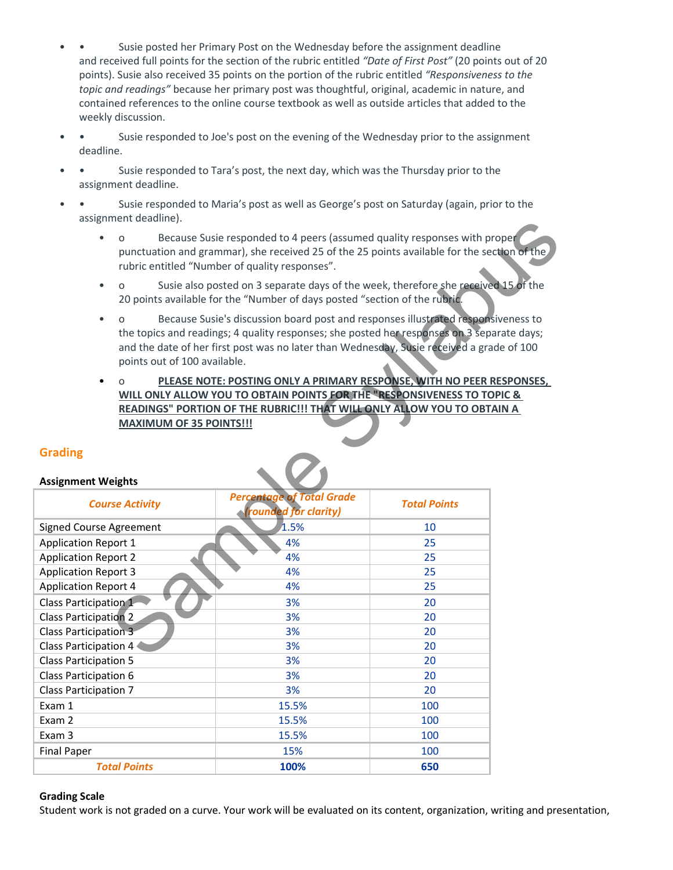- Susie posted her Primary Post on the Wednesday before the assignment deadline and received full points for the section of the rubric entitled "Date of First Post" (20 points out of 20 points). Susie also received 35 points on the portion of the rubric entitled "Responsiveness to the topic and readings" because her primary post was thoughtful, original, academic in nature, and contained references to the online course textbook as well as outside articles that added to the weekly discussion.
- • Susie responded to Joe's post on the evening of the Wednesday prior to the assignment deadline.
- • Susie responded to Tara's post, the next day, which was the Thursday prior to the assignment deadline.
- • Susie responded to Maria's post as well as George's post on Saturday (again, prior to the assignment deadline).
	- o Because Susie responded to 4 peers (assumed quality responses with proper punctuation and grammar), she received 25 of the 25 points available for the section of the rubric entitled "Number of quality responses".
	- o Susie also posted on 3 separate days of the week, therefore she received 15 of the 20 points available for the "Number of days posted "section of the rubric.
	- o Because Susie's discussion board post and responses illustrated responsiveness to the topics and readings; 4 quality responses; she posted her responses on 3 separate days; and the date of her first post was no later than Wednesday, Susie received a grade of 100 points out of 100 available.
	- o PLEASE NOTE: POSTING ONLY A PRIMARY RESPONSE, WITH NO PEER RESPONSES, WILL ONLY ALLOW YOU TO OBTAIN POINTS FOR THE "RESPONSIVENESS TO TOPIC & READINGS" PORTION OF THE RUBRIC!!! THAT WILL ONLY ALLOW YOU TO OBTAIN A MAXIMUM OF 35 POINTS!!!

| assignment deadmile).                                                                                                                                                                                                                                                                                                    |                                                                 |                     |  |  |
|--------------------------------------------------------------------------------------------------------------------------------------------------------------------------------------------------------------------------------------------------------------------------------------------------------------------------|-----------------------------------------------------------------|---------------------|--|--|
| Because Susie responded to 4 peers (assumed quality responses with proper<br>$\Omega$<br>punctuation and grammar), she received 25 of the 25 points available for the section of the<br>rubric entitled "Number of quality responses".                                                                                   |                                                                 |                     |  |  |
| Susie also posted on 3 separate days of the week, therefore she received 15 of the<br>$\bullet$<br>$\Omega$<br>20 points available for the "Number of days posted "section of the rubric.                                                                                                                                |                                                                 |                     |  |  |
| Because Susie's discussion board post and responses illustrated responsiveness to<br>$\Omega$<br>the topics and readings; 4 quality responses; she posted her responses on 3 separate days;<br>and the date of her first post was no later than Wednesday, Susie received a grade of 100<br>points out of 100 available. |                                                                 |                     |  |  |
| PLEASE NOTE: POSTING ONLY A PRIMARY RESPONSE, WITH NO PEER RESPONSES,<br>WILL ONLY ALLOW YOU TO OBTAIN POINTS FOR THE "RESPONSIVENESS TO TOPIC &<br>READINGS" PORTION OF THE RUBRIC!!! THAT WILL ONLY ALLOW YOU TO OBTAIN A<br><b>MAXIMUM OF 35 POINTS!!!</b>                                                            |                                                                 |                     |  |  |
| <b>Grading</b>                                                                                                                                                                                                                                                                                                           |                                                                 |                     |  |  |
|                                                                                                                                                                                                                                                                                                                          |                                                                 |                     |  |  |
| <b>Assignment Weights</b>                                                                                                                                                                                                                                                                                                |                                                                 |                     |  |  |
| <b>Course Activity</b>                                                                                                                                                                                                                                                                                                   | <b>Percentage of Total Grade</b><br><b>rounded for clarity)</b> | <b>Total Points</b> |  |  |
| Signed Course Agreement                                                                                                                                                                                                                                                                                                  | 1.5%                                                            | 10                  |  |  |
| <b>Application Report 1</b>                                                                                                                                                                                                                                                                                              | 4%                                                              | 25                  |  |  |
| <b>Application Report 2</b>                                                                                                                                                                                                                                                                                              | 4%                                                              | 25                  |  |  |
| <b>Application Report 3</b>                                                                                                                                                                                                                                                                                              | 4%                                                              | 25                  |  |  |
| <b>Application Report 4</b>                                                                                                                                                                                                                                                                                              | 4%                                                              | 25                  |  |  |
| Class Participation 1                                                                                                                                                                                                                                                                                                    | 3%                                                              | 20                  |  |  |
| <b>Class Participation 2</b>                                                                                                                                                                                                                                                                                             | 3%                                                              | 20                  |  |  |
| Class Participation 3                                                                                                                                                                                                                                                                                                    | 3%                                                              | 20                  |  |  |
| Class Participation 4                                                                                                                                                                                                                                                                                                    | 3%                                                              | 20                  |  |  |
| <b>Class Participation 5</b>                                                                                                                                                                                                                                                                                             | 3%                                                              | 20                  |  |  |
| Class Participation 6                                                                                                                                                                                                                                                                                                    | 3%                                                              | 20                  |  |  |
| <b>Class Participation 7</b>                                                                                                                                                                                                                                                                                             | 3%                                                              | 20                  |  |  |
| Exam 1                                                                                                                                                                                                                                                                                                                   | 15.5%                                                           | 100                 |  |  |
| Exam 2                                                                                                                                                                                                                                                                                                                   | 15.5%                                                           | 100                 |  |  |
| Exam 3                                                                                                                                                                                                                                                                                                                   | 15.5%                                                           | 100                 |  |  |
| <b>Final Paper</b>                                                                                                                                                                                                                                                                                                       | 15%                                                             | 100                 |  |  |
| <b>Total Points</b>                                                                                                                                                                                                                                                                                                      | 100%                                                            | 650                 |  |  |

# Grading

#### Grading Scale

Student work is not graded on a curve. Your work will be evaluated on its content, organization, writing and presentation,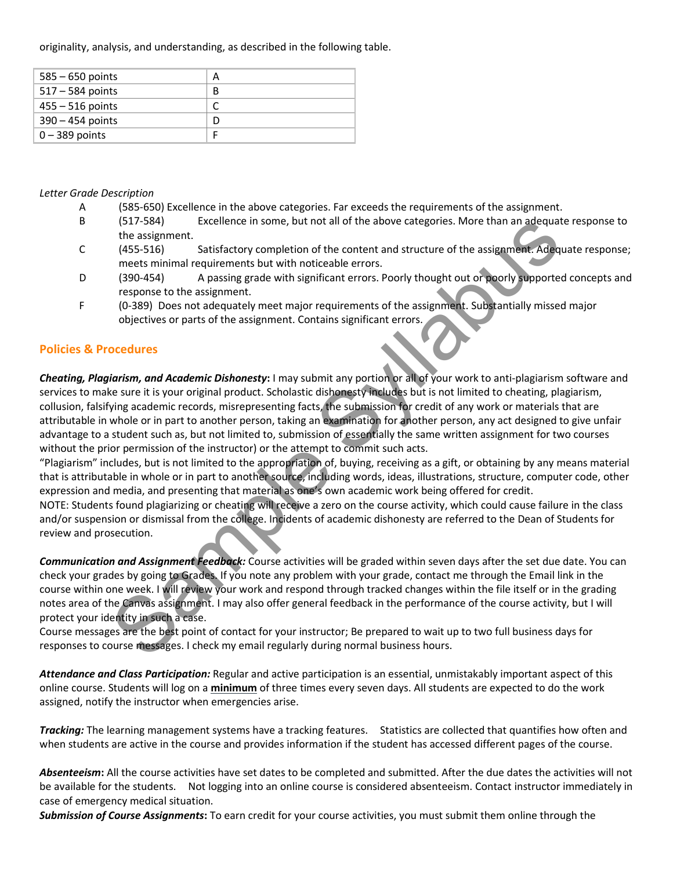originality, analysis, and understanding, as described in the following table.

| $585 - 650$ points | А |
|--------------------|---|
| $517 - 584$ points | в |
| $455 - 516$ points |   |
| $390 - 454$ points | D |
| $0 - 389$ points   |   |

#### Letter Grade Description

- A (585-650) Excellence in the above categories. Far exceeds the requirements of the assignment.
- B (517-584) Excellence in some, but not all of the above categories. More than an adequate response to the assignment.
- C (455-516) Satisfactory completion of the content and structure of the assignment. Adequate response; meets minimal requirements but with noticeable errors.
- D (390-454) A passing grade with significant errors. Poorly thought out or poorly supported concepts and response to the assignment.
- F (0-389) Does not adequately meet major requirements of the assignment. Substantially missed major objectives or parts of the assignment. Contains significant errors.

### Policies & Procedures

Cheating, Plagiarism, and Academic Dishonesty: I may submit any portion or all of your work to anti-plagiarism software and services to make sure it is your original product. Scholastic dishonesty includes but is not limited to cheating, plagiarism, collusion, falsifying academic records, misrepresenting facts, the submission for credit of any work or materials that are attributable in whole or in part to another person, taking an examination for another person, any act designed to give unfair advantage to a student such as, but not limited to, submission of essentially the same written assignment for two courses without the prior permission of the instructor) or the attempt to commit such acts. (517-584)<br>
the assignment.<br>
the assignment.<br>
the assignment.<br>
(455-5316) Satisfactory completion of the content and structure of the assignment.<br>
(455-516) Satisfactory completion of the content and structure of the assign

"Plagiarism" includes, but is not limited to the appropriation of, buying, receiving as a gift, or obtaining by any means material that is attributable in whole or in part to another source, including words, ideas, illustrations, structure, computer code, other expression and media, and presenting that material as one's own academic work being offered for credit.

NOTE: Students found plagiarizing or cheating will receive a zero on the course activity, which could cause failure in the class and/or suspension or dismissal from the college. Incidents of academic dishonesty are referred to the Dean of Students for review and prosecution.

Communication and Assignment Feedback: Course activities will be graded within seven days after the set due date. You can check your grades by going to Grades. If you note any problem with your grade, contact me through the Email link in the course within one week. I will review your work and respond through tracked changes within the file itself or in the grading notes area of the Canvas assignment. I may also offer general feedback in the performance of the course activity, but I will protect your identity in such a case.

Course messages are the best point of contact for your instructor; Be prepared to wait up to two full business days for responses to course messages. I check my email regularly during normal business hours.

Attendance and Class Participation: Regular and active participation is an essential, unmistakably important aspect of this online course. Students will log on a minimum of three times every seven days. All students are expected to do the work assigned, notify the instructor when emergencies arise.

Tracking: The learning management systems have a tracking features. Statistics are collected that quantifies how often and when students are active in the course and provides information if the student has accessed different pages of the course.

Absenteeism: All the course activities have set dates to be completed and submitted. After the due dates the activities will not be available for the students. Not logging into an online course is considered absenteeism. Contact instructor immediately in case of emergency medical situation.

Submission of Course Assignments: To earn credit for your course activities, you must submit them online through the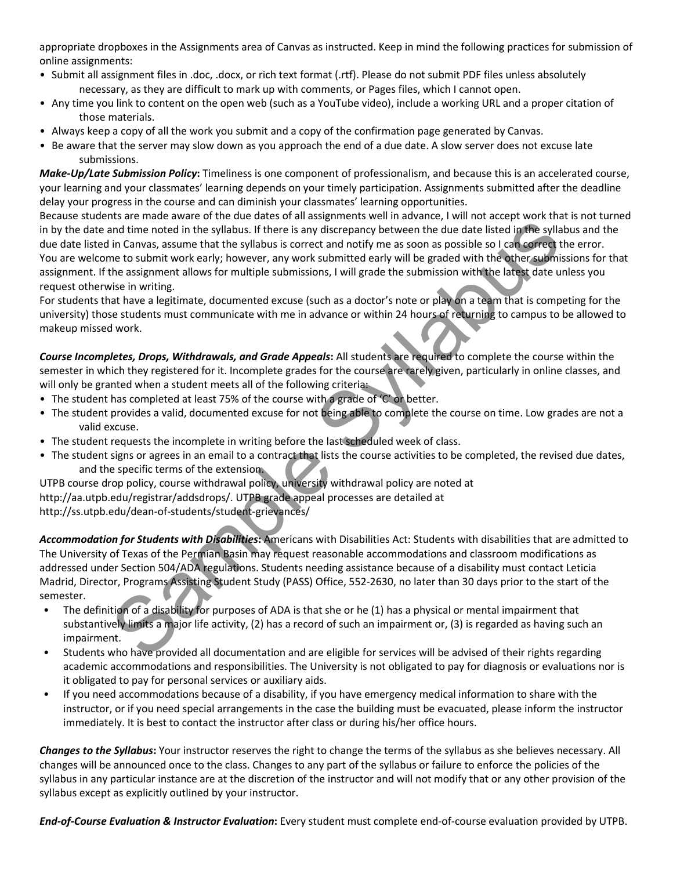appropriate dropboxes in the Assignments area of Canvas as instructed. Keep in mind the following practices for submission of online assignments:

- Submit all assignment files in .doc, .docx, or rich text format (.rtf). Please do not submit PDF files unless absolutely necessary, as they are difficult to mark up with comments, or Pages files, which I cannot open.
- Any time you link to content on the open web (such as a YouTube video), include a working URL and a proper citation of those materials.
- Always keep a copy of all the work you submit and a copy of the confirmation page generated by Canvas.
- Be aware that the server may slow down as you approach the end of a due date. A slow server does not excuse late submissions.

Make-Up/Late Submission Policy: Timeliness is one component of professionalism, and because this is an accelerated course, your learning and your classmates' learning depends on your timely participation. Assignments submitted after the deadline delay your progress in the course and can diminish your classmates' learning opportunities.

Because students are made aware of the due dates of all assignments well in advance, I will not accept work that is not turned in by the date and time noted in the syllabus. If there is any discrepancy between the due date listed in the syllabus and the due date listed in Canvas, assume that the syllabus is correct and notify me as soon as possible so I can correct the error. You are welcome to submit work early; however, any work submitted early will be graded with the other submissions for that assignment. If the assignment allows for multiple submissions, I will grade the submission with the latest date unless you request otherwise in writing. not also the extended in the syllabus. If there is any discrepancy between the due date listed in the syllabus. If there is any discrepancy between the due date listed in the syllabus. If there is any discrepancy between t

For students that have a legitimate, documented excuse (such as a doctor's note or play on a team that is competing for the university) those students must communicate with me in advance or within 24 hours of returning to campus to be allowed to makeup missed work.

Course Incompletes, Drops, Withdrawals, and Grade Appeals: All students are required to complete the course within the semester in which they registered for it. Incomplete grades for the course are rarely given, particularly in online classes, and will only be granted when a student meets all of the following criteria:

- The student has completed at least 75% of the course with a grade of 'C' or better.
- The student provides a valid, documented excuse for not being able to complete the course on time. Low grades are not a valid excuse.
- The student requests the incomplete in writing before the last scheduled week of class.
- The student signs or agrees in an email to a contract that lists the course activities to be completed, the revised due dates, and the specific terms of the extension.

UTPB course drop policy, course withdrawal policy, university withdrawal policy are noted at http://aa.utpb.edu/registrar/addsdrops/. UTPB grade appeal processes are detailed at http://ss.utpb.edu/dean-of-students/student-grievances/

Accommodation for Students with Disabilities: Americans with Disabilities Act: Students with disabilities that are admitted to The University of Texas of the Permian Basin may request reasonable accommodations and classroom modifications as addressed under Section 504/ADA regulations. Students needing assistance because of a disability must contact Leticia Madrid, Director, Programs Assisting Student Study (PASS) Office, 552-2630, no later than 30 days prior to the start of the semester.

- The definition of a disability for purposes of ADA is that she or he (1) has a physical or mental impairment that substantively limits a major life activity, (2) has a record of such an impairment or, (3) is regarded as having such an impairment.
- Students who have provided all documentation and are eligible for services will be advised of their rights regarding academic accommodations and responsibilities. The University is not obligated to pay for diagnosis or evaluations nor is it obligated to pay for personal services or auxiliary aids.
- If you need accommodations because of a disability, if you have emergency medical information to share with the instructor, or if you need special arrangements in the case the building must be evacuated, please inform the instructor immediately. It is best to contact the instructor after class or during his/her office hours.

Changes to the Syllabus: Your instructor reserves the right to change the terms of the syllabus as she believes necessary. All changes will be announced once to the class. Changes to any part of the syllabus or failure to enforce the policies of the syllabus in any particular instance are at the discretion of the instructor and will not modify that or any other provision of the syllabus except as explicitly outlined by your instructor.

End-of-Course Evaluation & Instructor Evaluation: Every student must complete end-of-course evaluation provided by UTPB.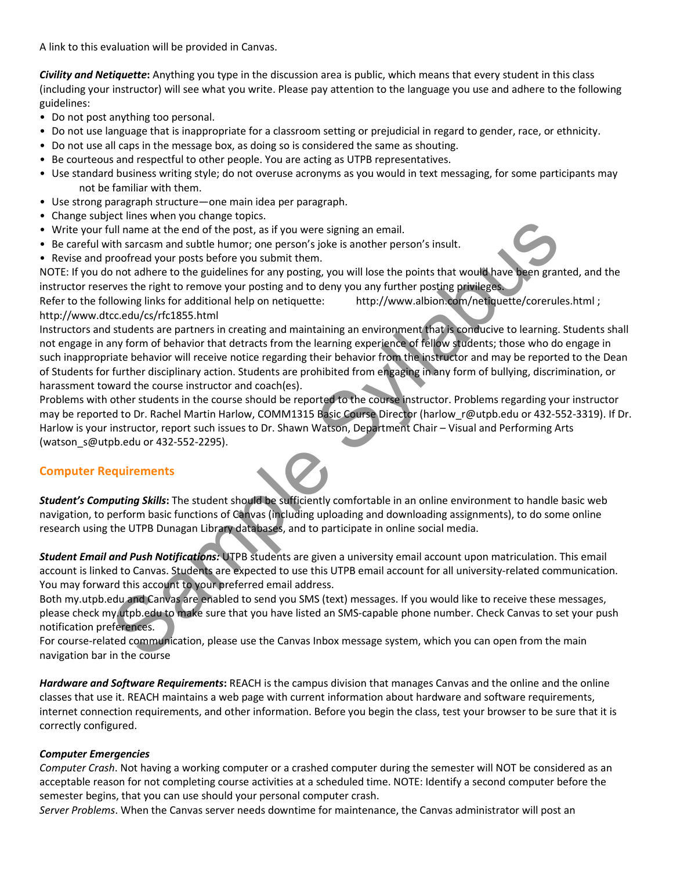A link to this evaluation will be provided in Canvas.

Civility and Netiquette: Anything you type in the discussion area is public, which means that every student in this class (including your instructor) will see what you write. Please pay attention to the language you use and adhere to the following guidelines:

- Do not post anything too personal.
- Do not use language that is inappropriate for a classroom setting or prejudicial in regard to gender, race, or ethnicity.
- Do not use all caps in the message box, as doing so is considered the same as shouting.
- Be courteous and respectful to other people. You are acting as UTPB representatives.
- Use standard business writing style; do not overuse acronyms as you would in text messaging, for some participants may not be familiar with them.
- Use strong paragraph structure—one main idea per paragraph.
- Change subject lines when you change topics.
- Write your full name at the end of the post, as if you were signing an email.
- Be careful with sarcasm and subtle humor; one person's joke is another person's insult.
- Revise and proofread your posts before you submit them.

NOTE: If you do not adhere to the guidelines for any posting, you will lose the points that would have been granted, and the instructor reserves the right to remove your posting and to deny you any further posting privileges.

Refer to the following links for additional help on netiquette: http://www.albion.com/netiquette/corerules.html; http://www.dtcc.edu/cs/rfc1855.html

Instructors and students are partners in creating and maintaining an environment that is conducive to learning. Students shall not engage in any form of behavior that detracts from the learning experience of fellow students; those who do engage in such inappropriate behavior will receive notice regarding their behavior from the instructor and may be reported to the Dean of Students for further disciplinary action. Students are prohibited from engaging in any form of bullying, discrimination, or harassment toward the course instructor and coach(es). Communication and subtle humor, one person's joint and the positive substitute of the positive substitute of the positive theorem is substitute that an ordinate and state in the proposition of one of the positive theorem a

Problems with other students in the course should be reported to the course instructor. Problems regarding your instructor may be reported to Dr. Rachel Martin Harlow, COMM1315 Basic Course Director (harlow r@utpb.edu or 432-552-3319). If Dr. Harlow is your instructor, report such issues to Dr. Shawn Watson, Department Chair – Visual and Performing Arts (watson\_s@utpb.edu or 432-552-2295).

# Computer Requirements

Student's Computing Skills: The student should be sufficiently comfortable in an online environment to handle basic web navigation, to perform basic functions of Canvas (including uploading and downloading assignments), to do some online research using the UTPB Dunagan Library databases, and to participate in online social media.

Student Email and Push Notifications: UTPB students are given a university email account upon matriculation. This email account is linked to Canvas. Students are expected to use this UTPB email account for all university-related communication. You may forward this account to your preferred email address.

Both my.utpb.edu and Canvas are enabled to send you SMS (text) messages. If you would like to receive these messages, please check my.utpb.edu to make sure that you have listed an SMS-capable phone number. Check Canvas to set your push notification preferences.

For course-related communication, please use the Canvas Inbox message system, which you can open from the main navigation bar in the course

Hardware and Software Requirements: REACH is the campus division that manages Canvas and the online and the online classes that use it. REACH maintains a web page with current information about hardware and software requirements, internet connection requirements, and other information. Before you begin the class, test your browser to be sure that it is correctly configured.

#### Computer Emergencies

Computer Crash. Not having a working computer or a crashed computer during the semester will NOT be considered as an acceptable reason for not completing course activities at a scheduled time. NOTE: Identify a second computer before the semester begins, that you can use should your personal computer crash.

Server Problems. When the Canvas server needs downtime for maintenance, the Canvas administrator will post an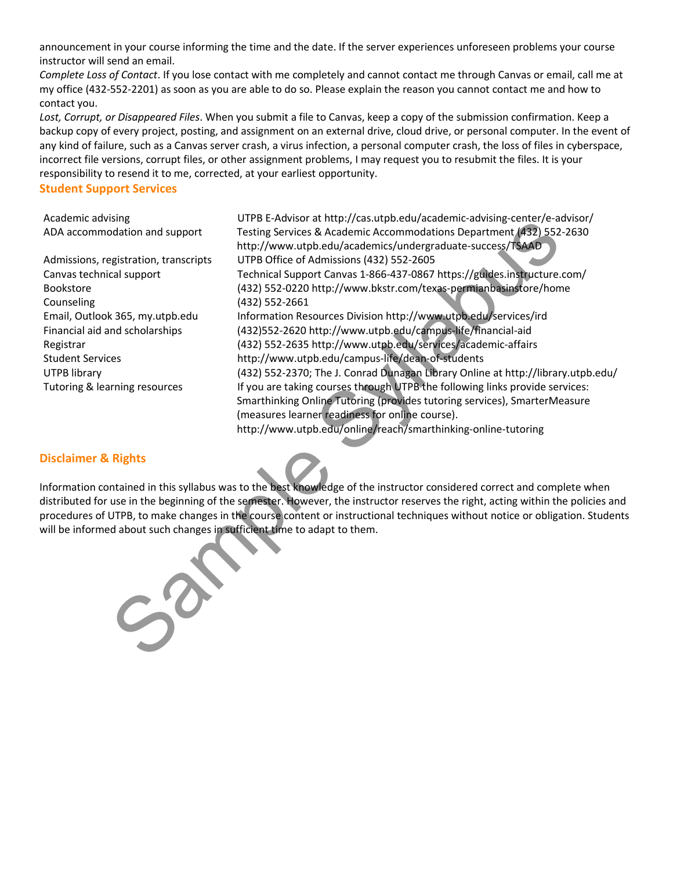announcement in your course informing the time and the date. If the server experiences unforeseen problems your course instructor will send an email.

Complete Loss of Contact. If you lose contact with me completely and cannot contact me through Canvas or email, call me at my office (432-552-2201) as soon as you are able to do so. Please explain the reason you cannot contact me and how to contact you.

Lost, Corrupt, or Disappeared Files. When you submit a file to Canvas, keep a copy of the submission confirmation. Keep a backup copy of every project, posting, and assignment on an external drive, cloud drive, or personal computer. In the event of any kind of failure, such as a Canvas server crash, a virus infection, a personal computer crash, the loss of files in cyberspace, incorrect file versions, corrupt files, or other assignment problems, I may request you to resubmit the files. It is your responsibility to resend it to me, corrected, at your earliest opportunity.

### Student Support Services

Counseling (432) 552-2661

Academic advising UTPB E-Advisor at http://cas.utpb.edu/academic-advising-center/e-advisor/ ADA accommodation and support Testing Services & Academic Accommodations Department (432) 552-2630 http://www.utpb.edu/academics/undergraduate-success/TSAAD Admissions, registration, transcripts UTPB Office of Admissions (432) 552-2605 Canvas technical support Technical Support Canvas 1-866-437-0867 https://guides.instructure.com/ Bookstore (432) 552-0220 http://www.bkstr.com/texas-permianbasinstore/home Email, Outlook 365, my.utpb.edu Information Resources Division http://www.utpb.edu/services/ird Financial aid and scholarships (432)552-2620 http://www.utpb.edu/campus-life/financial-aid Registrar (432) 552-2635 http://www.utpb.edu/services/academic-affairs Student Services http://www.utpb.edu/campus-life/dean-of-students UTPB library (432) 552-2370; The J. Conrad Dunagan Library Online at http://library.utpb.edu/ Tutoring & learning resources If you are taking courses through UTPB the following links provide services: Smarthinking Online Tutoring (provides tutoring services), SmarterMeasure (measures learner readiness for online course). http://www.utpb.edu/online/reach/smarthinking-online-tutoring Sample Considered Mathematics (and Supple Considered Mathematics and the transmission and support<br>
Institute Sylvapus A Academic Accommodations Department (432) 552<br>
gistration, transcripts<br>
UTP8 Office of Admissions (32)

### Disclaimer & Rights

Information contained in this syllabus was to the best knowledge of the instructor considered correct and complete when distributed for use in the beginning of the semester. However, the instructor reserves the right, acting within the policies and procedures of UTPB, to make changes in the course content or instructional techniques without notice or obligation. Students will be informed about such changes in sufficient time to adapt to them.